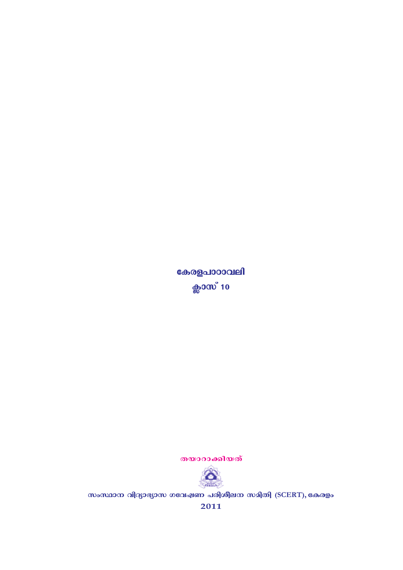തയാറാക്കിയത്



സംസ്ഥാന വിദ്യാഭ്യാസ ഗവേഷണ പരിശീലന സമിതി (SCERT), കേരളം

2011

കേരളപാഠാവലി ക്ലാസ് **10**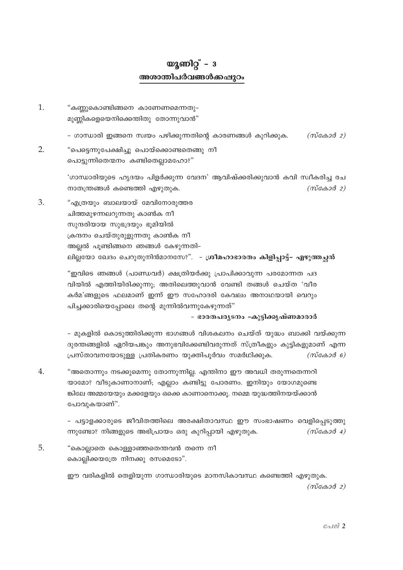## യൂണിറ്റ് –  $3$ അശാന്തിപർവങ്ങൾക്കപ്പുറം

- 1. "കണ്ണുകൊണ്ടിങ്ങനെ കാണേണമെന്നതു– മുണ്ണികളെയെനിക്കെന്തിതു തോന്നുവാൻ"
	- ഗാന്ധാരി ഇങ്ങനെ സ്വയം പഴിക്കുന്നതിന്റെ കാരണങ്ങൾ കുറിക്കുക. (സ്കോർ 2)
- $2.$ "പെട്ടെന്നുപേക്ഷിച്ചു പൊയ്ക്കൊണ്ടതെങ്ങു നീ പൊട്ടുന്നിതെന്മനം കണ്ടിതെല്ലാമഹോ?"

'ഗാന്ധാരിയുടെ ഹൃദയം പിളർക്കുന്ന വേദന' ആവിഷ്ക്കരിക്കുവാൻ കവി സ്വീകരിച്ച രച നാതന്ത്രങ്ങൾ കണ്ടെത്തി എഴുതുക.  $(m \cos \theta 2)$ 

3. "എത്രയും ബാലയായ് മേവിനോരുത്തര ചിത്തമുഴന്നലറുന്നതു കാൺക നീ സുന്ദരിയായ സുഭദ്രയും ഭൂമിയിൽ ക്രന്ദനം ചെയ്തുരുളുന്നതു കാൺക നീ അല്ലൽ പൂണ്ടിങ്ങനെ ഞങ്ങൾ കേഴുന്നതി-ലില്ലയോ ഖേദം ചെറുതുനിൻമാനസേ?". - ശ്രീമഹാഭാരതം കിളിപ്പാട്ട്- എഴുത്തച്ഛൻ

"ഇവിടെ ഞങ്ങൾ (പാണ്ഡവർ) ക്ഷത്രിയർക്കു പ്രാപിക്കാവുന്ന പരമോന്നത പദ വിയിൽ എത്തിയിരിക്കുന്നു; അതിലെത്തുവാൻ വേണ്ടി തങ്ങൾ ചെയ്ത 'വീര കർമ'ങ്ങളുടെ ഫലമാണ് ഇന്ന് ഈ സഹോദരി കേവലം അനാഥയായി വെറും പിച്ചക്കാരിയെപ്പോലെ തന്റെ മൂന്നിൽവന്നുകേഴുന്നത്"

- ഭാരതപര്യടനം -കുട്ടിക്കൃഷ്ണമാരാർ

– മുകളിൽ കൊടുത്തിരിക്കുന്ന ഭാഗങ്ങൾ വിശകലനം ചെയ്ത് യുദ്ധം ബാക്കി വയ്ക്കുന്ന ദുരന്തങ്ങളിൽ ഏറിയപങ്കും അനുഭവിക്കേണ്ടിവരുന്നത് സ്ത്രീകളും കുട്ടികളുമാണ് എന്ന പ്രസ്താവനയോടുള്ള പ്രതികരണം യുക്തിപൂർവം സമർഥിക്കുക.  $(m\tilde{\cos}\omega\tilde{\cos}\theta)$ 

 $\overline{4}$ . "അതൊന്നും നടക്കുമെന്നു തോന്നുന്നില്ല. എന്തിനാ ഈ അവധി തരുന്നതെന്നറി യാമോ? വീടുകാണാനാണ്; എല്ലാം കണ്ടിട്ടു പോരണം. ഇനിയും യോഗമുണ്ടെ ങ്കിലേ അമ്മയേയും മക്കളേയും ഒക്കെ കാണാനൊക്കു. നമ്മെ യുദ്ധത്തിനയയ്ക്കാൻ പോവുകയാണ്".

> - പട്ടാളക്കാരുടെ ജീവിതത്തിലെ അരക്ഷിതാവസ്ഥ ഈ സംഭാഷണം വെളിപ്പെടുത്തു ന്നുണ്ടോ? നിങ്ങളുടെ അഭിപ്രായം ഒരു കുറിപ്പായി എഴുതുക.  $(m \cos \theta 4)$

5. "കൊല്ലാതെ കൊള്ളാഞ്ഞതെന്തവൻ തന്നെ നീ കൊല്ലിക്കയത്രേ നിനക്കു രസമെടോ".

> ഈ വരികളിൽ തെളിയുന്ന ഗാന്ധാരിയുടെ മാനസികാവസ്ഥ കണ്ടെത്തി എഴുതുക.  $(m\alpha\alpha\beta\alpha)$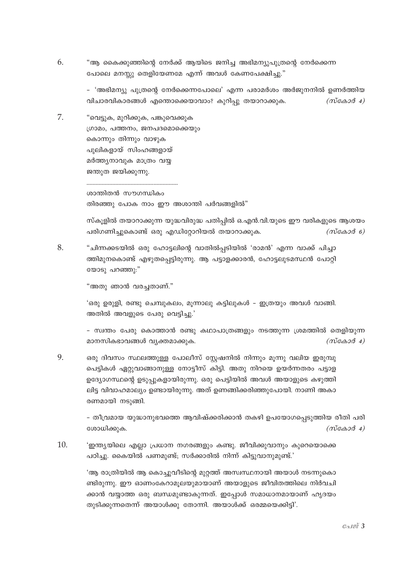6. "ആ കൈക്കുഞ്ഞിന്റെ നേർക്ക് ആയിടെ ജനിച്ച അഭിമന്യുപുത്രന്റെ നേർക്കെന്ന പോലെ മനസ്സു തെളിയേണമേ എന്ന് അവൾ കേണപേക്ഷിച്ചു."

> – 'അഭിമന്യു പുത്രന്റെ നേർക്കെന്നപോലെ' എന്ന പരാമർശം അർജുനനിൽ ഉണർത്തിയ വിചാരവികാരങ്ങൾ എന്തൊക്കെയാവാം? കുറിപ്പു തയാറാക്കുക.  $(m \cos \theta 4)$

7. "വെട്ടുക, മുറിക്കുക, പങ്കുവെക്കുക ഗ്രാമം, പത്തനം, ജനപദമൊക്കെയും കൊന്നും തിന്നും വാഴുക പുലികളായ് സിംഹങ്ങളായ് മർത്ത്യനാവുക മാത്രം വയ്യ ജന്തുത ജയിക്കുന്നു.

ശാന്തിതൻ സൗഗന്ധികം തിരഞ്ഞു പോക നാം ഈ അശാന്തി പർവങ്ങളിൽ"

സ്കൂളിൽ തയാറാക്കുന്ന യുദ്ധവിരുദ്ധ പതിപ്പിൽ ഒ.എൻ.വി.യുടെ ഈ വരികളുടെ ആശയം പരിഗണിച്ചുകൊണ്ട് ഒരു എഡിറ്റോറിയൽ തയാറാക്കുക.  $(m \cos \theta)$ 

8. "ചിന്നക്കടയിൽ ഒരു ഹോട്ടലിന്റെ വാതിൽപ്പടിയിൽ 'രാമൻ' എന്ന വാക്ക് പിച്ചാ ത്തിമുനകൊണ്ട് എഴുതപ്പെട്ടിരുന്നു. ആ പട്ടാളക്കാരൻ, ഹോട്ടലുടമസ്ഥൻ പോറ്റി യോടു പറഞ്ഞു:"

"അതു ഞാൻ വരച്ചതാണ്."

'ഒരു ഉരുളി, രണ്ടു ചെമ്പുകലം, മൂന്നാലു കട്ടിലുകൾ – ഇത്രയും അവൾ വാങ്ങി. അതിൽ അവളുടെ പേരു വെട്ടിച്ചു.'

– സ്വന്തം പേരു കൊത്താൻ രണ്ടു കഥാപാത്രങ്ങളും നടത്തുന്ന ശ്രമത്തിൽ തെളിയുന്ന മാനസികഭാവങ്ങൾ വ്യക്തമാക്കുക.  $(m \cos \theta 4)$ 

9. ഒരു ദിവസം സ്ഥലത്തുള്ള പോലീസ് സ്റ്റേഷനിൽ നിന്നും മൂന്നു വലിയ ഇരുമ്പു പെട്ടികൾ ഏറ്റുവാങ്ങാനുള്ള നോട്ടീസ് കിട്ടി. അതു നിറയെ ഉയർന്നതരം പട്ടാള ഉദ്യോഗസ്ഥന്റെ ഉടുപ്പുകളായിരുന്നു. ഒരു പെട്ടിയിൽ അവൾ അയാളുടെ കഴുത്തി ലിട്ട വിവാഹമാല്യം ഉണ്ടായിരുന്നു. അത് ഉണങ്ങിക്കരിഞ്ഞുപോയി. നാണി അകാ രണമായി നടുങ്ങി.

> - തീവ്രമായ യുദ്ധാനുഭവത്തെ ആവിഷ്ക്കരിക്കാൻ തകഴി ഉപയോഗപ്പെടുത്തിയ രീതി പരി ശോധിക്കുക.  $(m \cos \theta 4)$

 $10.$ 'ഇന്ത്യയിലെ എല്ലാ പ്രധാന നഗരങ്ങളും കണ്ടു. ജീവിക്കുവാനും കുറെയൊക്കെ പഠിച്ചു. കൈയിൽ പണമുണ്ട്; സർക്കാരിൽ നിന്ന് കിട്ടുവാനുമുണ്ട്.'

> 'ആ രാത്രിയിൽ ആ കൊച്ചുവീടിന്റെ മുറ്റത്ത് അസ്വസ്ഥനായി അയാൾ നടന്നുകൊ ണ്ടിരുന്നു. ഈ ഓണംകേറാമൂലയുമായാണ് അയാളുടെ ജീവിതത്തിലെ നിർവചി ക്കാൻ വയ്യാത്ത ഒരു ബന്ധമുണ്ടാകുന്നത്. ഇപ്പോൾ സമാധാനമായാണ് ഹൃദയം തുടിക്കുന്നതെന്ന് അയാൾക്കു തോന്നി. അയാൾക്ക് ഒരമ്മയെക്കിട്ടി'.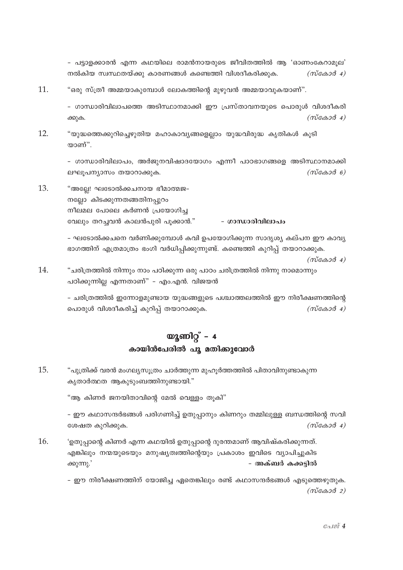- പട്ടാളക്കാരൻ എന്ന കഥയിലെ രാമൻനായരുടെ ജീവിതത്തിൽ ആ 'ഓണംകേറാമൂല' നൽകിയ സ്വസ്ഥതയ്ക്കു കാരണങ്ങൾ കണ്ടെത്തി വിശദീകരിക്കുക.  $(m \cos \theta 4)$ 

11. "ഒരു സ്ത്രീ അമ്മയാകുമ്പോൾ ലോകത്തിന്റെ മുഴുവൻ അമ്മയാവുകയാണ്".

> - ഗാന്ധാരിവിലാപത്തെ അടിസ്ഥാനമാക്കി ഈ പ്രസ്താവനയുടെ പൊരുൾ വിശദീകരി  $(m\tilde{\cos}a\tilde{\cos}a)$ ക്കുക.

12. "യുദ്ധത്തെക്കുറിച്ചെഴുതിയ മഹാകാവ്യങ്ങളെല്ലാം യുദ്ധവിരുദ്ധ കൃതികൾ കൂടി യാണ്".

> - ഗാന്ധാരിവിലാപം, അർജുനവിഷാദയോഗം എന്നീ പാഠഭാഗങ്ങളെ അടിസ്ഥാനമാക്കി ലഘൂപന്യാസം തയാറാക്കുക.  $(m\cos 3\theta - \theta)$

13. "അല്ലേ! ഘടോൽക്കചനായ ഭീമാത്മജ-നല്ലോ കിടക്കുന്നതങ്ങതിനപ്പുറം നീലമല പോലെ കർണൻ പ്രയോഗിച്ച വേലും തറച്ചവൻ കാലൻപുരി പൂക്കാൻ." - ഗാന്ധാരിവിലാപം

> - ഘടോൽക്കചനെ വർണിക്കുമ്പോൾ കവി ഉപയോഗിക്കുന്ന സാദൃശ്യ കല്പന ഈ കാവ്യ ഭാഗത്തിന് എത്രമാത്രം ഭംഗി വർധിപിക്കുന്നുണ്ട്. കണ്ടെത്തി കുറിപ് തയാറാക്കുക.  $(m \cos \theta 4)$

14. "ചരിത്രത്തിൽ നിന്നും നാം പഠിക്കുന്ന ഒരു പാഠം ചരിത്രത്തിൽ നിന്നു നാമൊന്നും പഠിക്കുന്നില്ല എന്നതാണ്" - എം.എൻ. വിജയൻ

> - ചരിത്രത്തിൽ ഇന്നോളമുണ്ടായ യുദ്ധങ്ങളുടെ പശ്ചാത്തലത്തിൽ ഈ നിരീക്ഷണത്തിന്റെ പൊരുൾ വിശദീകരിച്ച് കുറിപ്പ് തയാറാക്കുക.  $(m \cos \theta 4)$

## യൂണിറ്റ് –  $4$ കായിൻപേരിൽ പൂ മതിക്കുവോർ

15. "പുത്രിക്ക് വരൻ മംഗല്യസുത്രം ചാർത്തുന്ന മുഹുർത്തത്തിൽ പിതാവിനുണ്ടാകുന്ന കൃതാർത്ഥത ആകുടുംബത്തിനുണ്ടായി."

"ആ കിണർ ജനയിതാവിന്റെ മേൽ വെള്ളം തുകി"

– ഈ കഥാസന്ദർഭങ്ങൾ പരിഗണിച്ച് ഉതുപ്പാനും കിണറും തമ്മിലുള്ള ബന്ധത്തിന്റെ സവി ശേഷത കുറിക്കുക.  $(m \cos \theta 4)$ 

16. 'ഉതുപ്പാന്റെ കിണർ എന്ന കഥയിൽ ഉതുപ്പാന്റെ ദുരന്തമാണ് ആവിഷ്കരിക്കുന്നത്. എങ്കിലും നന്മയുടെയും മനുഷ്യത്വത്തിന്റെയും പ്രകാശം ഇവിടെ വ്യാപിച്ചുകിട ക്കുന്നു.' - അക്ബർ കക്കട്ടിൽ

> - ഈ നിരീക്ഷണത്തിന് യോജിച്ച ഏതെങ്കിലും രണ്ട് കഥാസന്ദർഭങ്ങൾ എടുത്തെഴുതുക.  $(m\tilde{\cos}a\tilde{\cos}a)$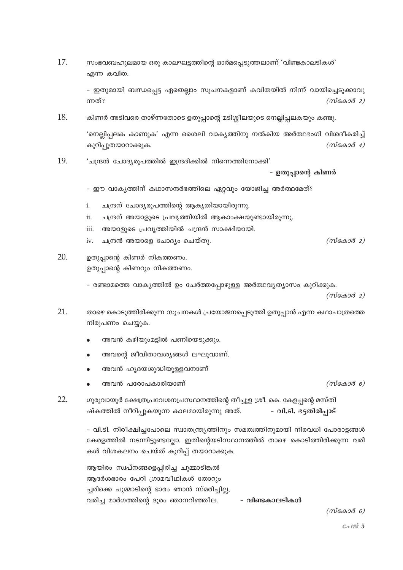17. സംഭവബഹുലമായ ഒരു കാലഘട്ടത്തിന്റെ ഓർമപ്പെടുത്തലാണ് 'വിണ്ടകാലടികൾ' എന്ന കവിത.

> – ഇതുമായി ബന്ധപ്പെട്ട ഏതെല്ലാം സൂചനകളാണ് കവിതയിൽ നിന്ന് വായിച്ചെടുക്കാവു ന്നത്?  $(m \cos \theta 2)$

18. കിണർ അടിവരെ താഴ്ന്നതോടെ ഉതുപ്പാന്റെ മടിശ്ശീലയുടെ നെല്ലിപ്പലകയും കണ്ടു.

> 'നെല്ലിപ്പലക കാണുക' എന്ന ശൈലി വാകൃത്തിനു നൽകിയ അർത്ഥഭംഗി വിശദീകരിച്ച് കുറിപ്പുതയാറാക്കുക.  $(m\tilde{\cos}\omega\tilde{\omega})$  4)

19. 'ചന്ദ്രൻ ചോദ്യരുപത്തിൽ ഇന്ദ്രദിക്കിൽ നിന്നെത്തിനോക്കി'

- ഉതുപ്പാന്റെ കിണർ

- ഈ വാകൃത്തിന് കഥാസന്ദർഭത്തിലെ ഏറ്റവും യോജിച്ച അർത്ഥമേത്?
- $\mathbf{i}$ . ചന്ദ്രന് ചോദ്യരൂപത്തിന്റെ ആകൃതിയായിരുന്നു.
- ചന്ദ്രന് അയാളുടെ പ്രവൃത്തിയിൽ ആകാംക്ഷയുണ്ടായിരുന്നു.  $ii$
- അയാളുടെ പ്രവൃത്തിയിൽ ചന്ദ്രൻ സാക്ഷിയായി. iii.
- iv. ചന്ദ്രൻ അയാളെ ചോദ്യം ചെയ്തു.

## $20<sup>1</sup>$ ഉതുപാന്റെ കിണർ നികത്തണം. ഉതുപ്പാന്റെ കിണറും നികത്തണം.

- രണ്ടാമത്തെ വാകൃത്തിൽ ഉം ചേർത്തപ്പോഴുള്ള അർത്ഥവൃത്യാസം കുറിക്കുക.

 $(m$ കോർ 2)

- $21.$ താഴെ കൊടുത്തിരിക്കുന്ന സൂചനകൾ പ്രയോജനപ്പെടുത്തി ഉതുപ്പാൻ എന്ന കഥാപാത്രത്തെ നിരൂപണം ചെയ്യുക.
	- അവൻ കഴിയുംമട്ടിൽ പണിയെടുക്കും.
	- അവന്റെ ജീവിതാവശ്യങ്ങൾ ലഘുവാണ്.
	- അവൻ ഹൃദയശുദ്ധിയുള്ളവനാണ്
	- അവൻ പരോപകാരിയാണ്

22. ഗുരുവായൂർ ക്ഷേത്രപ്രവേശനപ്രസ്ഥാനത്തിന്റെ തീച്ചൂള ശ്രീ. കെ. കേളപ്പന്റെ മസ്തി ഷ്കത്തിൽ നീറിപ്പുകയുന്ന കാലമായിരുന്നു അത്. - വി.ടി. ഭട്ടതിരിപ്പാട്

> - വി.ടി. നിരീക്ഷിച്ചപോലെ സ്വാതന്ത്ര്യത്തിനും സമത്വത്തിനുമായി നിരവധി പോരാട്ടങ്ങൾ കേരളത്തിൽ നടന്നിട്ടുണ്ടല്ലോ. ഇതിന്റെയടിസ്ഥാനത്തിൽ താഴെ കൊടിത്തിരിക്കുന്ന വരി കൾ വിശകലനം ചെയ്ത് കുറിപ്പ് തയാറാക്കുക.

ആയിരം സ്വപ്നങ്ങളെപ്പിരിച്ച ചുമ്മാടിങ്കൽ അദർശഭാരം പേറി ഗ്രാമവീഥികൾ തോറ്റം ച്ചരിക്കെ ചുമ്മാടിന്റെ ഭാരം ഞാൻ സ്മരിച്ചില്ല, വരിച്ച മാർഗത്തിന്റെ ദുരം ഞാനറിഞ്ഞീല. - വിണ്ടകാലടികൾ

 $(m \cos \theta \theta)$ 

 $(m \cos \theta)$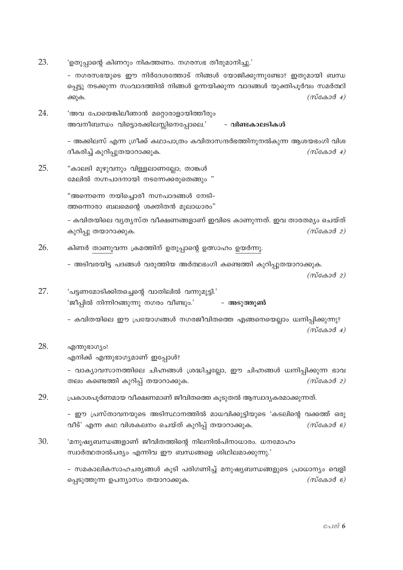23. 'ഉതുപ്പാന്റെ കിണറും നികത്തണം. നഗരസഭ തീരുമാനിച്ചു.'

> - നഗരസഭയുടെ ഈ നിർദേശത്തോട് നിങ്ങൾ യോജിക്കുന്നുണ്ടോ? ഇതുമായി ബന്ധ പ്പെട്ടു നടക്കുന്ന സംവാദത്തിൽ നിങ്ങൾ ഉന്നയിക്കുന്ന വാദങ്ങൾ യുക്തിപൂർവം സമർത്ഥി  $(m\tilde{\cos}a\tilde{\cos}a)$ ക്കുക.

24. 'അവ പോയെങ്കിലീഞാൻ മറ്റൊരാളായിത്തീരും അവനീബന്ധം വിട്ടൊരക്കിലസ്സിനെപ്പോലെ.' - വിണ്ടകാലടികൾ

> - അക്കിലസ് എന്ന ഗ്രീക്ക് കഥാപാത്രം കവിതാസന്ദർഭത്തിനുനൽകുന്ന ആശയഭംഗി വിശ ദീകരിച്ച് കുറിപ്പുതയാറാക്കുക.  $(m \cos \theta 4)$

25 "കാലടി മുഴുവനും വിള്ളലാണലോ; താങ്കൾ മേലിൽ നഗ്നപാദനായി നടന്നേക്കരുതെങ്ങും "

> "അന്നെന്നെ നയിച്ചൊരീ നഗ്നപാദങ്ങൾ നേടി-ത്തന്നൊരാ ബലമെന്റെ ശക്തിതൻ മൂലാധാരം"

- കവിതയിലെ വൃതൃസ്ത വീക്ഷണങ്ങളാണ് ഇവിടെ കാണുന്നത്. ഇവ താരതമൃം ചെയ്ത്  $(m \cos \theta 2)$ കുറിപ്പു തയാറാക്കുക.

- 26. കിണർ താണുവന്ന ക്രമത്തിന് ഉതുപ്പാന്റെ ഉത്സാഹം ഉയർന്നു.
	- അടിവരയിട്ട പദങ്ങൾ വരുത്തിയ അർത്ഥഭംഗി കണ്ടെത്തി കുറിപുതയാറാക്കുക.

 $(m\tilde{\cos}a\tilde{\cos}a)$ 

27. 'പട്ടണമോടിക്കിതച്ചെന്റെ വാതിലിൽ വന്നുമുട്ടി.' 'ജീപ്പിൽ നിന്നിറങ്ങുന്നു നഗരം വീണ്ടും.' – അടുത്തുൺ

> - കവിതയിലെ ഈ പ്രയോഗങ്ങൾ നഗരജീവിതത്തെ എങ്ങനെയെല്ലാം ധ്വനിപ്പിക്കുന്നു?  $(m\ddot{c} \triangle 3\ddot{d} + 4)$

28 എന്തുഭാഗ്യം!

എനിക്ക് എന്തുഭാഗ്യമാണ് ഇപ്പോൾ?

- വാക്യാവസാനത്തിലെ ചിഹ്നങ്ങൾ ശ്രദ്ധിച്ചല്ലോ, ഈ ചിഹ്നങ്ങൾ ധ്വനിപ്പിക്കുന്ന ഭാവ തലം കണ്ടെത്തി കുറിപ്പ് തയാറാക്കുക.  $(m \cos \theta 2)$ 

29 പ്രകാശപുർണമായ വീക്ഷണമാണ് ജീവിതത്തെ കുടുതൽ ആസ്വാദൃകരമാക്കുന്നത്.

> - ഈ പ്രസ്താവനയുടെ അടിസ്ഥാനത്തിൽ മാധവിക്കുട്ടിയുടെ 'കടലിന്റെ വക്കത്ത് ഒരു വീട്' എന്ന കഥ വിശകലനം ചെയ്ത് കുറിപ്പ് തയാറാക്കുക.  $(m\tilde{\cos}\theta \delta \theta)$

30. 'മനുഷ്യബന്ധങ്ങളാണ് ജീവിതത്തിന്റെ നിലനിൽപിനാധാരം. ധനമോഹം സ്വാർത്ഥതാൽപര്യം എന്നിവ ഈ ബന്ധങ്ങളെ ശിഥിലമാക്കുന്നു.'

> – സമകാലികസാഹചര്യങ്ങൾ കൂടി പരിഗണിച്ച് മനുഷ്യബന്ധങ്ങളുടെ പ്രാധാന്യം വെളി  $(m \cos \theta)$ പ്പെടുത്തുന്ന ഉപന്യാസം തയാറാക്കുക.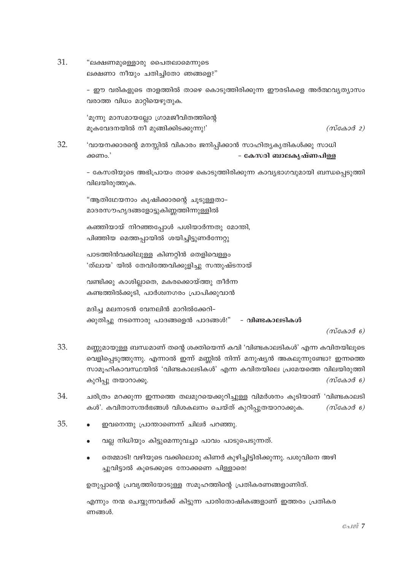31. "ലക്ഷണമുള്ളൊരു പൈതലാമെന്നുടെ ലക്ഷണാ നീയും ചതിച്ചിതോ ഞങ്ങളെ?"

> - ഈ വരികളുടെ താളത്തിൽ താഴെ കൊടുത്തിരിക്കുന്ന ഈരടികളെ അർത്ഥവൃത്യാസം വരാത്ത വിധം മാറ്റിയെഴുതുക.

'മുന്നു മാസമായല്ലോ ഗ്രാമജീവിതത്തിന്റെ മൂകവേദനയിൽ നീ മുങ്ങിക്കിടക്കുന്നു!'

 $(m \cos \theta 2)$ 

32. 'വായനക്കാരന്റെ മനസ്സിൽ വികാരം ജനിപ്പിക്കാൻ സാഹിത്യകൃതികൾക്കു സാധി - കേസരി ബാലകൃഷ്ണപിള്ള ക്കണം.'

> - കേസരിയുടെ അഭിപ്രായം താഴെ കൊടുത്തിരിക്കുന്ന കാവ്യഭാഗവുമായി ബന്ധപ്പെടുത്തി വിലയിരുത്തുക.

"ആതിഥേയനാം കൃഷിക്കാരന്റെ ചുടുള്ളതാ-മാദരസൗഹൃദങ്ങളോട്ടുകിണ്ണത്തിന്നുള്ളിൽ

കഞ്ഞിയായ് നിറഞ്ഞപ്പോൾ പശിയാർന്നതു മോന്തി, പിഞ്ഞിയ മെത്തപ്പായിൽ ശയിച്ചിട്ടുണർന്നേറ്റു

പാടത്തിൻവക്കിലുള്ള കിണറ്റിൻ തെളിവെള്ളം 'ത്ലായ' യിൽ തേവിത്തേവിക്കുളിച്ചു സന്തുഷ്ടനായ്

വണ്ടിക്കു കാശില്ലാതെ, മകരക്കൊയ്ത്തു തീർന്ന കണ്ടത്തിൽക്കുടി, പാർശ്വനഗരം പ്രാപിക്കുവാൻ

മദിച്ച മലനാടൻ വേനലിൻ മാറിൽക്കേറി-ക്കുതിച്ചു നടന്നൊരു പാദങ്ങളെൻ പാദങ്ങൾ!" - **വിണ്ടകാലടികൾ** 

 $(m \cos \theta)$ 

- 33. മണ്ണമായുള്ള ബന്ധമാണ് തന്റെ ശക്തിയെന്ന് കവി 'വിണ്ടകാലടികൾ' എന്ന കവിതയിലൂടെ വെളിപ്പെടുത്തുന്നു. എന്നാൽ ഇന്ന് മണ്ണിൽ നിന്ന് മനുഷ്യൻ അകലുന്നുണ്ടോ? ഇന്നത്തെ സാമൂഹികാവസ്ഥയിൽ 'വിണ്ടകാലടികൾ' എന്ന കവിതയിലെ പ്രമേയത്തെ വിലയിരുത്തി കുറിപ്പു തയാറാക്കൂ.  $(m$ caso $\delta$  6)
- 34. ചരിത്രം മറക്കുന്ന ഇന്നത്തെ തലമുറയെക്കുറിച്ചുള്ള വിമർശനം കൂടിയാണ് 'വിണ്ടകാലടി കൾ'. കവിതാസന്ദർഭങ്ങൾ വിശകലനം ചെയ്ത് കുറിപ്പുതയാറാക്കുക.  $(m \cos \theta)$
- 35. ഇവനെന്തു പ്രാന്താണെന്ന് ചിലർ പറഞ്ഞു.
	- വല്ല നിധിയും കിട്ടുമെന്നുവച്ചാ പാവം പാടുപെടുന്നത്.
	- തെമ്മാടി! വഴിയുടെ വക്കിലൊരു കിണർ കുഴിച്ചിട്ടിരിക്കുന്നു. പശുവിനെ അഴി ച്ചുവിട്ടാൽ കൂടെക്കൂടെ നോക്കണെ പിള്ളാരെ!

ഉതുപ്പാന്റെ പ്രവൃത്തിയോടുള്ള സമൂഹത്തിന്റെ പ്രതികരണങ്ങളാണിത്.

എന്നും നന്മ ചെയ്യുന്നവർക്ക് കിട്ടുന്ന പാരിതോഷികങ്ങളാണ് ഇത്തരം പ്രതികര ണങ്ങൾ.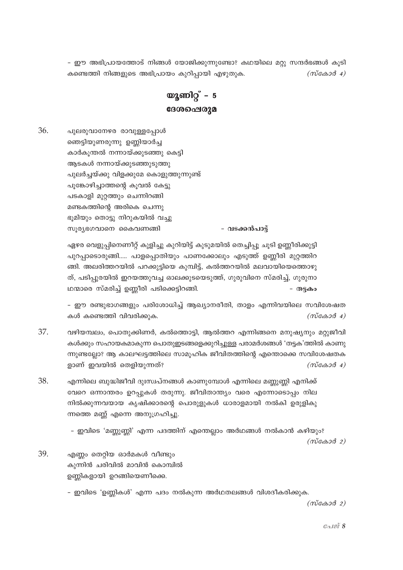- ഈ അഭിപ്രായത്തോട് നിങ്ങൾ യോജിക്കുന്നുണ്ടോ? കഥയിലെ മറ്റു സന്ദർഭങ്ങൾ കൂടി കണ്ടെത്തി നിങ്ങളുടെ അഭിപ്രായം കുറിപ്പായി എഴുതുക.  $(m \cos \theta 4)$ 

യുണിറ്റ് –  $5$ ദേശപ്പെരുമ

36. പുലരുവാനേഴര രാവുള്ളപ്പോൾ ഞെട്ടിയുണരുന്നു ഉണ്ണിയാർച്ച കാർകുന്തൽ നന്നായ്ക്കുടഞ്ഞു കെട്ടി ആടകൾ നന്നായ്ക്കുടഞ്ഞുടുത്തു പുലർച്ചയ്ക്കു വിളക്കുമേ കൊളുത്തുന്നുണ്ട് പൂങ്കോഴിച്ചാത്തന്റെ കുവൽ കേട്ടു പടകാളി മുറ്റത്തും ചെന്നിറങ്ങി മണ്ടകത്തിന്റെ അരികെ ചെന്നു ഭൂമിയും തൊട്ടു നിറുകയിൽ വച്ചു - വടക്കൻപാട്ട് സൂര്യഭഗവാനെ കൈവണങ്ങി

> ഏഴര വെളുപ്പിനെണീറ്റ് കുളിച്ചു കുറിയിട്ട് കൂടുമയിൽ തെച്ചിപ്പു ചൂടി ഉണ്ണീരിക്കുട്ടി പുറപ്പാടൊരുങ്ങി..... പാളപ്പൊതിയും പാണക്കോലും എടുത്ത് ഉണ്ണീരി മുറ്റത്തിറ ങ്ങി. അലരിത്തറയിൽ പറക്കുട്ടിയെ കുമ്പിട്ട്, കൽത്തറയിൽ മലവായിയെത്തൊഴു ത്, പടിപ്പുരയിൽ ഇറയത്തുവച്ച ഓലക്കുടയെടുത്ത്, ഗുരുവിനെ സ്മരിച്ച്, ഗുരുനാ ഥന്മാരെ സ്മരിച്ച് ഉണ്ണീരി പടിക്കെട്ടിറങ്ങി. - തട്ടകം

- ഈ രണ്ടുഭാഗങ്ങളും പരിശോധിച്ച് ആഖ്യാനരീതി, താളം എന്നിവയിലെ സവിശേഷത കൾ കണ്ടെത്തി വിവരിക്കുക.  $(m\tilde{\cos}a\tilde{\cos}a)$ 

37. വഴിയമ്പലം, പൊതുക്കിണർ, കൽത്തൊട്ടി, ആൽത്തറ എന്നിങ്ങനെ മനുഷ്യനും മറ്റുജീവി കൾക്കും സഹായകമാകുന്ന പൊതുഇടങ്ങളെക്കുറിച്ചുള്ള പരാമർശങ്ങൾ 'തട്ടക'ത്തിൽ കാണു ന്നുണ്ടല്ലോ? ആ കാലഘട്ടത്തിലെ സാമുഹിക ജീവിതത്തിന്റെ എന്തൊക്കെ സവിശേഷതക ളാണ് ഇവയിൽ തെളിയുന്നത്?  $(m \cos \theta 4)$ 

38. എന്നിലെ ബുദ്ധിജീവി ദുഃസ്വപ്നങ്ങൾ കാണുമ്പോൾ എന്നിലെ മണ്ണുണ്ണി എനിക്ക് വേറെ ഒന്നാന്തരം ഉറപ്പുകൾ തരുന്നു. ജീവിതാന്ത്യം വരെ എന്നോടൊപ്പം നില നിൽക്കുന്നവയായ കൃഷിക്കാരന്റെ പൊരുളുകൾ ധാരാളമായി നൽകി ഉരുളികു ന്നത്തെ മണ്ണ് എന്നെ അനുഗ്രഹിച്ചു.

> – ഇവിടെ 'മണ്ണുണ്ണി' എന്ന പദത്തിന് എന്തെല്ലാം അർഥങ്ങൾ നൽകാൻ കഴിയും?  $(m \cos \theta 2)$

39. എണ്ണം തെറ്റിയ ഓർമകൾ വീണ്ടും കുന്നിൻ ചരിവിൽ മാവിൻ കൊമ്പിൽ ഉണ്ണികളായി ഉറങ്ങിയെണീക്കെ.

– ഇവിടെ 'ഉണ്ണികൾ' എന്ന പദം നൽകുന്ന അർഥതലങ്ങൾ വിശദീകരിക്കുക.

 $(m\cos 3\theta_2)$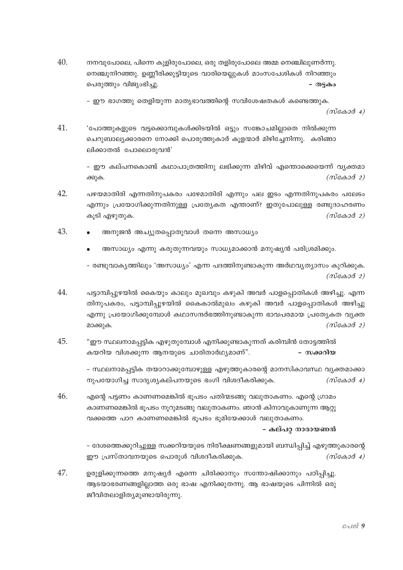40. നനവുപോലെ, പിന്നെ കുളിരുപോലെ, ഒരു തളിരുപോലെ അമ്മ നെഞ്ചിലുണർന്നു. നെഞ്ചുനിറഞ്ഞു. ഉണ്ണീരിക്കുട്ടിയുടെ വാരിയെല്ലുകൾ മാംസപേശികൾ നിറഞ്ഞും പെരുത്തും വിജ്യംഭിച്ചു. - തട്ടകം

- ഈ ഭാഗത്തു തെളിയുന്ന മാതൃഭാവത്തിന്റെ സവിശേഷതകൾ കണ്ടെത്തുക.

 $(m\alpha\alpha\beta\alpha)$ 

41. 'പോത്തുകളുടെ വട്ടക്കൊമ്പുകൾക്കിടയിൽ ഒട്ടും സങ്കോചമില്ലാതെ നിൽക്കുന്ന ചെറുബാല്യക്കാരനെ നോക്കി പൊരുത്തുകാർ കുളന്മാർ മിഴിചേനിന്നു. കരിങ്ങാ ലിക്കാതൽ പോലൊരുവൻ'

> – ഈ കല്പനകൊണ്ട് കഥാപാത്രത്തിനു ലഭിക്കുന്ന മിഴിവ് എന്തൊക്കെയെന്ന് വ്യക്തമാ  $(m \cos \theta 2)$ ക്കുക.

- 42. പഴയമാതിരി എന്നതിനുപകരം പഴേമാതിരി എന്നും പല ഇടം എന്നതിനുപകരം പലേടം എന്നും പ്രയോഗിക്കുന്നതിനുള്ള പ്രത്യേകത എന്താണ്? ഇതുപോലുള്ള രണ്ടുദാഹരണം കൂടി എഴുതുക.  $(m\alpha\alpha\beta\alpha)$
- 43. അനുജൻ അച്യുതപ്പൊതുവാൾ തന്നെ അസാധ്യം
	- അസാധ്യം എന്നു കരുതുന്നവയും സാധ്യമാക്കാൻ മനുഷ്യൻ പരിശ്രമിക്കും.

– രണ്ടുവാകൃത്തിലും 'അസാധ്യം' എന്ന പദത്തിനുണ്ടാകുന്ന അർഥവൃത്യാസം കുറിക്കുക.  $(m\tilde{\cos}\omega\tilde{\cos}\omega)$ 

- 44. പട്ടാമ്പിപ്പുഴയിൽ കൈയും കാലും മുഖവും കഴുകി അവർ പാളപ്പൊതികൾ അഴിച്ചു. എന്ന തിനുപകരം, പട്ടാമ്പിപ്പുഴയിൽ കൈകാൽമുഖം കഴുകി അവർ പാളപ്പൊതികൾ അഴിച്ചു എന്നു പ്രയോഗിക്കുമ്പോൾ കഥാസന്ദർഭത്തിനുണ്ടാകുന്ന ഭാവപരമായ പ്രത്യേകത വ്യക്ത മാക്കുക.  $(m\alpha\alpha\beta\beta)$
- 45. "ഈ സ്ഥലനാമപ്പട്ടിക എഴുതുമ്പോൾ എനിക്കുണ്ടാകുന്നത് കരിമ്പിൻ തോട്ടത്തിൽ കയറിയ വിശക്കുന്ന ആനയുടെ ചാരിതാർഥ്യമാണ്". - സക്കറിയ

- സ്ഥലനാമപ്പട്ടിക തയാറാക്കുമ്പോഴുള്ള എഴുത്തുകാരന്റെ മാനസികാവസ്ഥ വ്യക്തമാക്കാ നുപയോഗിച്ച സാദൃശ്യകല്പനയുടെ ഭംഗി വിശദീകരിക്കുക.  $(m\alpha\alpha\beta\alpha)$ 

46. എന്റെ പട്ടണം കാണണമെങ്കിൽ ഭൂപടം പതിന്മടങ്ങു വലുതാകണം. എന്റെ ഗ്രാമം കാണണമെങ്കിൽ ഭൂപടം നൂറുമടങ്ങു വലുതാകണം. ഞാൻ കിനാവുകാണുന്ന ആറ്റു വക്കത്തെ പാറ കാണണമെങ്കിൽ ഭൂപടം ഭൂമിയേക്കാൾ വലുതാകണം.

- കല്പറ് നാരായണൻ

– ദേശത്തെക്കുറിച്ചുള്ള സക്കറിയയുടെ നിരീക്ഷണങ്ങളുമായി ബന്ധിപ്പിച്ച് എഴുത്തുകാരന്റെ ഈ പ്രസ്താവനയുടെ പൊരുൾ വിശദീകരിക്കുക.  $(m \cos \theta 4)$ 

47. ഉരുളിക്കുന്നത്തെ മനുഷ്യർ എന്നെ ചിരിക്കാനും സന്തോഷിക്കാനും പഠിപ്പിച്ചു. ആടയാഭരണങ്ങളില്ലാത്ത ഒരു ഭാഷ എനിക്കുതന്നു. ആ ഭാഷയുടെ പിന്നിൽ ഒരു ജീവിതലാളിതൃമുണ്ടായിരുന്നു.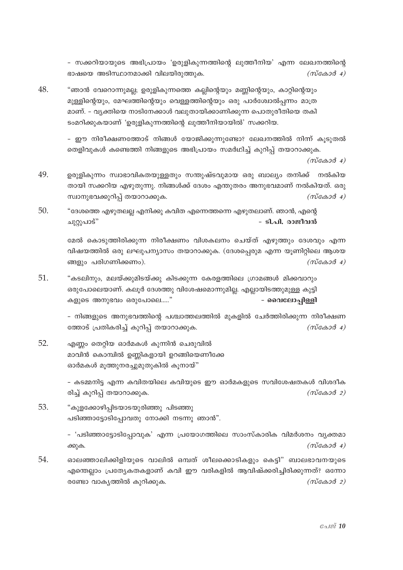- സക്കറിയായുടെ അഭിപ്രായം 'ഉരുളികുന്നത്തിന്റെ ലുത്തീനിയ' എന്ന ലേഖനത്തിന്റെ ഭാഷയെ അടിസ്ഥാനമാക്കി വിലയിരുത്തുക.  $(m\tilde{\cos}a\tilde{\cos}a)$ 

48. "ഞാൻ വേറൊന്നുമല്ല; ഉരുളികുന്നത്തെ കല്ലിന്റെയും മണ്ണിന്റെയും, കാറ്റിന്റെയും മുള്ളിന്റെയും, മേഘത്തിന്റെയും വെള്ളത്തിന്റെയും ഒരു പാർശ്വോൽപ്പന്നം മാത്ര മാണ്. - വ്യക്തിയെ നാടിനേക്കാൾ വലുതായിക്കാണിക്കുന്ന പൊതുരീതിയെ തകി ടംമറിക്കുകയാണ് 'ഉരുളികുന്നത്തിന്റെ ലുത്തീനിയായിൽ' സക്കറിയ.

> - ഈ നിരീക്ഷണത്തോട് നിങ്ങൾ യോജിക്കുന്നുണ്ടോ? ലേഖനത്തിൽ നിന്ന് കൂട്ടുതൽ തെളിവുകൾ കണ്ടെത്തി നിങ്ങളുടെ അഭിപ്രായം സമർഥിച്ച് കുറിപ്പ് തയാറാക്കുക.

> > $(m\tilde{\cos}a\tilde{\cos}a)$

- 49. ഉരുളികുന്നം സ്വാഭാവികതയുള്ളതും സന്തുഷ്ടവുമായ ഒരു ബാല്യം തനിക്ക് നൽകിയ തായി സക്കറിയ എഴുതുന്നു. നിങ്ങൾക്ക് ദേശം എന്തുതരം അനുഭവമാണ് നൽകിയത്. ഒരു സ്വാനുഭവക്കുറിപ്പ് തയാറാക്കുക.  $(m\tilde{\cos}a\tilde{\cos}a)$
- 50. "ദേശത്തെ എഴുതലല്ല എനിക്കു കവിത എന്നെത്തന്നെ എഴുതലാണ്. ഞാൻ, എന്റെ - ടി.പി. രാജീവൻ ചുറ്റുപാട്"

മേൽ കൊടുത്തിരിക്കുന്ന നിരീക്ഷണം വിശകലനം ചെയ്ത് എഴുത്തും ദേശവും എന്ന വിഷയത്തിൽ ഒരു ലഘുപന്യാസം തയാറാക്കുക. (ദേശപ്പെരുമ എന്ന യൂണിറ്റിലെ ആശയ ങ്ങളും പരിഗണിക്കണം).  $(m \cos \theta 4)$ 

51. "കടലിനും, മലയ്ക്കുമിടയ്ക്കു കിടക്കുന്ന കേരളത്തിലെ ഗ്രാമങ്ങൾ മിക്കവാറും ഒരുപോലെയാണ്. കലുർ ദേശത്തു വിശേഷമൊന്നുമില്ല. എല്ലായിടത്തുമുള്ള കുട്ടി കളുടെ അനുഭവം ഒരുപോലെ....." - വൈലോപ്പിള്ളി

> - നിങ്ങളുടെ അനുഭവത്തിന്റെ പശ്ചാത്തലത്തിൽ മുകളിൽ ചേർത്തിരിക്കുന്ന നിരീക്ഷണ ത്തോട് പ്രതികരിച്ച് കുറിപ്പ് തയാറാക്കുക.  $(m \cos \theta 4)$

52. എണ്ണം തെറ്റിയ ഓർമകൾ കുന്നിൻ ചെരുവിൽ മാവിൻ കൊമ്പിൽ ഉണ്ണികളായി ഉറങ്ങിയെണീക്കേ ഓർമകൾ മൂത്തുനരച്ചുമുതുകിൽ കൂനായ്"

> - കടമ്മനിട്ട എന്ന കവിതയിലെ കവിയുടെ ഈ ഓർമകളുടെ സവിശേഷതകൾ വിശദീക രിച്ച് കുറിപ്പ് തയാറാക്കുക.  $(m \cos \theta 2)$

53. "കുളക്കോഴിപ്പിടയാടയുരിഞ്ഞു പിടഞ്ഞു പടിഞ്ഞാട്ടോടിപ്പോവതു നോക്കി നടന്നു ഞാൻ".

> - 'പടിഞ്ഞാട്ടോടിപ്പോവുക' എന്ന പ്രയോഗത്തിലെ സാംസ്കാരിക വിമർശനം വൃക്തമാ  $(m\tilde{\cos}a\tilde{\cos}a)$ ക്കുക.

54. ഓലഞ്ഞാലിക്കിളിയുടെ വാലിൽ ഒമ്പത് ശീലക്കൊടികളും കെട്ടി" ബാലഭാവനയുടെ എന്തെല്ലാം പ്രത്യേകതകളാണ് കവി ഈ വരികളിൽ ആവിഷ്ക്കരിച്ചിരിക്കുന്നത്? ഒന്നോ രണ്ടോ വാകൃത്തിൽ കൂറിക്കുക.  $(m \cos \theta 2)$